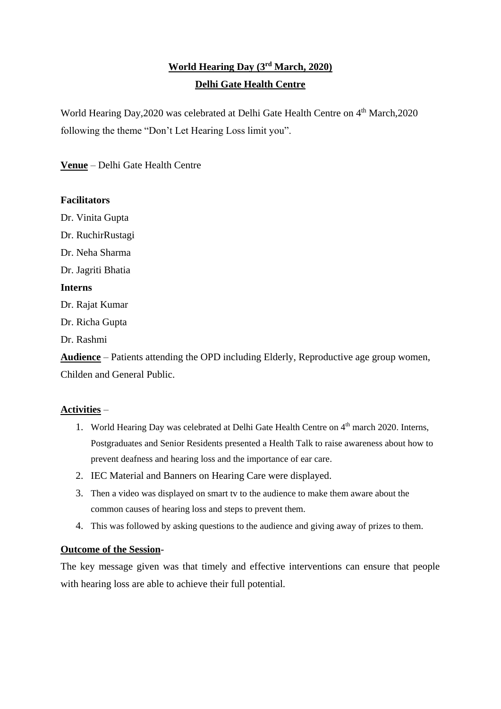# **World Hearing Day (3rd March, 2020) Delhi Gate Health Centre**

World Hearing Day, 2020 was celebrated at Delhi Gate Health Centre on 4<sup>th</sup> March, 2020 following the theme "Don't Let Hearing Loss limit you".

**Venue** – Delhi Gate Health Centre

## **Facilitators**

Dr. Vinita Gupta

Dr. RuchirRustagi

Dr. Neha Sharma

Dr. Jagriti Bhatia

#### **Interns**

Dr. Rajat Kumar

Dr. Richa Gupta

Dr. Rashmi

**Audience** – Patients attending the OPD including Elderly, Reproductive age group women, Childen and General Public.

## **Activities** –

- 1. World Hearing Day was celebrated at Delhi Gate Health Centre on 4<sup>th</sup> march 2020. Interns, Postgraduates and Senior Residents presented a Health Talk to raise awareness about how to prevent deafness and hearing loss and the importance of ear care.
- 2. IEC Material and Banners on Hearing Care were displayed.
- 3. Then a video was displayed on smart tv to the audience to make them aware about the common causes of hearing loss and steps to prevent them.
- 4. This was followed by asking questions to the audience and giving away of prizes to them.

### **Outcome of the Session**-

The key message given was that timely and effective interventions can ensure that people with hearing loss are able to achieve their full potential.